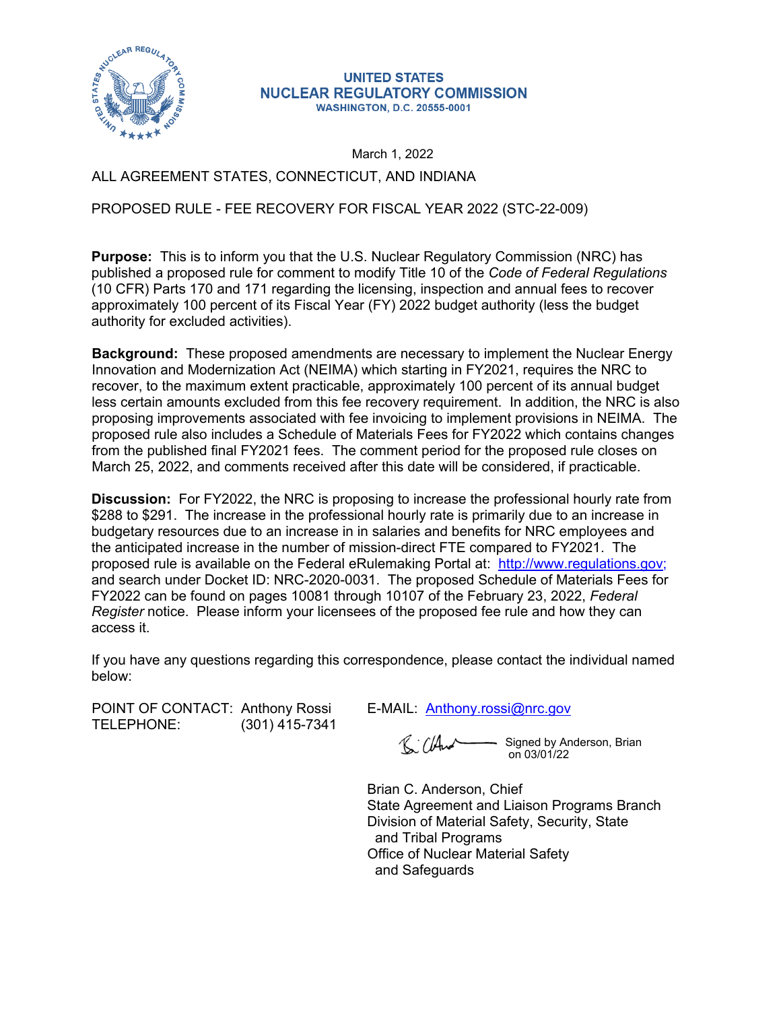

## **UNITED STATES NUCLEAR REGULATORY COMMISSION WASHINGTON, D.C. 20555-0001**

March 1, 2022

## ALL AGREEMENT STATES, CONNECTICUT, AND INDIANA

## PROPOSED RULE - FEE RECOVERY FOR FISCAL YEAR 2022 (STC-22-009)

**Purpose:** This is to inform you that the U.S. Nuclear Regulatory Commission (NRC) has published a proposed rule for comment to modify Title 10 of the *Code of Federal Regulations*  (10 CFR) Parts 170 and 171 regarding the licensing, inspection and annual fees to recover approximately 100 percent of its Fiscal Year (FY) 2022 budget authority (less the budget authority for excluded activities).

**Background:** These proposed amendments are necessary to implement the Nuclear Energy Innovation and Modernization Act (NEIMA) which starting in FY2021, requires the NRC to recover, to the maximum extent practicable, approximately 100 percent of its annual budget less certain amounts excluded from this fee recovery requirement. In addition, the NRC is also proposing improvements associated with fee invoicing to implement provisions in NEIMA. The proposed rule also includes a Schedule of Materials Fees for FY2022 which contains changes from the published final FY2021 fees. The comment period for the proposed rule closes on March 25, 2022, and comments received after this date will be considered, if practicable.

**Discussion:** For FY2022, the NRC is proposing to increase the professional hourly rate from \$288 to \$291. The increase in the professional hourly rate is primarily due to an increase in budgetary resources due to an increase in in salaries and benefits for NRC employees and the anticipated increase in the number of mission-direct FTE compared to FY2021. The proposed rule is available on the Federal eRulemaking Portal at: <http://www.regulations.gov>[;](http://www.regulations.gov/)  and search under Docket ID: NRC-2020-0031. The proposed Schedule of Materials Fees for FY2022 can be found on pages 10081 through 10107 of the February 23, 2022, *Federal Register* notice. Please inform your licensees of the proposed fee rule and how they can access it.

If you have any questions regarding this correspondence, please contact the individual named below:

POINT OF CONTACT: Anthony Rossi E-MAIL: [Anthony.rossi@nrc.gov](mailto:Anthony.rossi@nrc.gov) TELEPHONE: (301) 415-7341

 $R$  (And - Signed by Anderson, Brian on 03/01/22

Brian C. Anderson, Chief State Agreement and Liaison Programs Branch Division of Material Safety, Security, State and Tribal Programs Office of Nuclear Material Safety and Safeguards